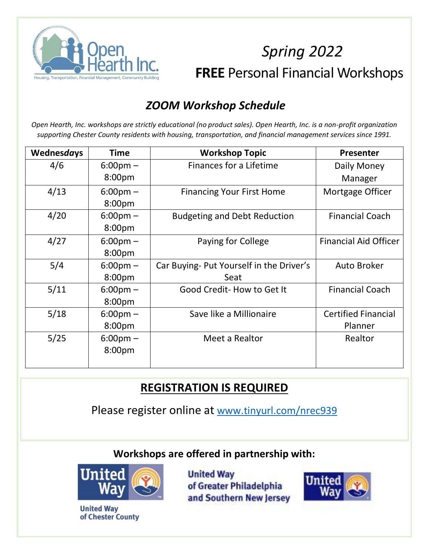

# *Spring 2022* **FREE** Personal Financial Workshops

### *ZOOM Workshop Schedule*

*Open Hearth, Inc. workshops are strictly educational (no product sales). Open Hearth, Inc. is a non-profit organization supporting Chester County residents with housing, transportation, and financial management services since 1991.*

| Wednesdays | <b>Time</b>        | <b>Workshop Topic</b>                    | Presenter                    |
|------------|--------------------|------------------------------------------|------------------------------|
| 4/6        | $6:00 \text{pm} -$ | Finances for a Lifetime                  | Daily Money                  |
|            | 8:00pm             |                                          | Manager                      |
| 4/13       | $6:00 \text{pm} -$ | <b>Financing Your First Home</b>         | Mortgage Officer             |
|            | 8:00pm             |                                          |                              |
| 4/20       | $6:00 \text{pm} -$ | <b>Budgeting and Debt Reduction</b>      | <b>Financial Coach</b>       |
|            | 8:00pm             |                                          |                              |
| 4/27       | $6:00 \text{pm} -$ | Paying for College                       | <b>Financial Aid Officer</b> |
|            | 8:00pm             |                                          |                              |
| 5/4        | $6:00 \text{pm} -$ | Car Buying- Put Yourself in the Driver's | <b>Auto Broker</b>           |
|            | 8:00pm             | Seat                                     |                              |
| 5/11       | $6:00 \text{pm} -$ | Good Credit-How to Get It                | <b>Financial Coach</b>       |
|            | 8:00pm             |                                          |                              |
| 5/18       | $6:00 \text{pm} -$ | Save like a Millionaire                  | <b>Certified Financial</b>   |
|            | 8:00pm             |                                          | Planner                      |
| 5/25       | $6:00 \text{pm} -$ | Meet a Realtor                           | Realtor                      |
|            | 8:00pm             |                                          |                              |
|            |                    |                                          |                              |

### **REGISTRATION IS REQUIRED**

Please register online at [www.tinyurl.com/nrec939](http://www.tinyurl.com/nrec939)

**Workshops are offered in partnership with:**



**United Way** of Chester County **United Way** of Greater Philadelphia and Southern New Jersey